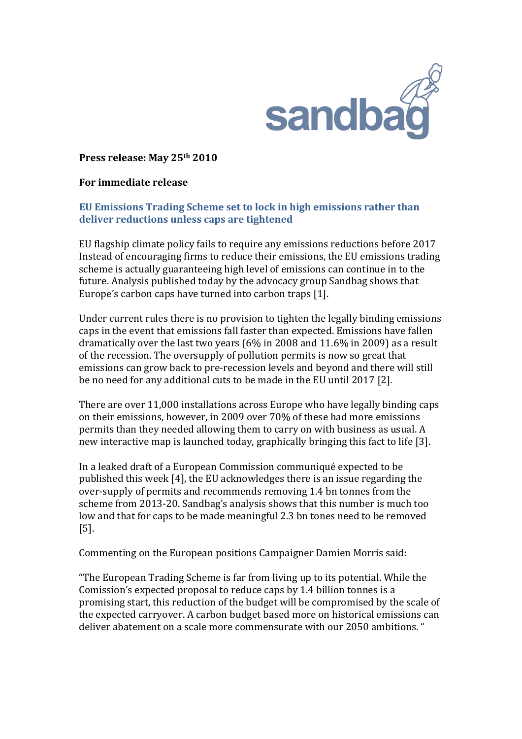

Press release: May 25<sup>th</sup> 2010

## **For%immediate%release**

## **EU Emissions Trading Scheme set to lock in high emissions rather than** deliver reductions unless caps are tightened

EU flagship climate policy fails to require any emissions reductions before 2017 Instead of encouraging firms to reduce their emissions, the EU emissions trading scheme is actually guaranteeing high level of emissions can continue in to the future. Analysis published today by the advocacy group Sandbag shows that Europe's carbon caps have turned into carbon traps [1].

Under current rules there is no provision to tighten the legally binding emissions caps in the event that emissions fall faster than expected. Emissions have fallen dramatically over the last two years (6% in 2008 and 11.6% in 2009) as a result of the recession. The oversupply of pollution permits is now so great that emissions can grow back to pre-recession levels and beyond and there will still be no need for any additional cuts to be made in the EU until 2017 [2].

There are over 11,000 installations across Europe who have legally binding caps on their emissions, however, in 2009 over 70% of these had more emissions permits than they needed allowing them to carry on with business as usual. A new interactive map is launched today, graphically bringing this fact to life [3].

In a leaked draft of a European Commission communiqué expected to be published this week [4], the EU acknowledges there is an issue regarding the over-supply of permits and recommends removing 1.4 bn tonnes from the scheme from 2013-20. Sandbag's analysis shows that this number is much too low and that for caps to be made meaningful 2.3 bn tones need to be removed  $[5]$ .

Commenting on the European positions Campaigner Damien Morris said:

"The European Trading Scheme is far from living up to its potential. While the Comission's expected proposal to reduce caps by 1.4 billion tonnes is a promising start, this reduction of the budget will be compromised by the scale of the expected carryover. A carbon budget based more on historical emissions can deliver abatement on a scale more commensurate with our 2050 ambitions."